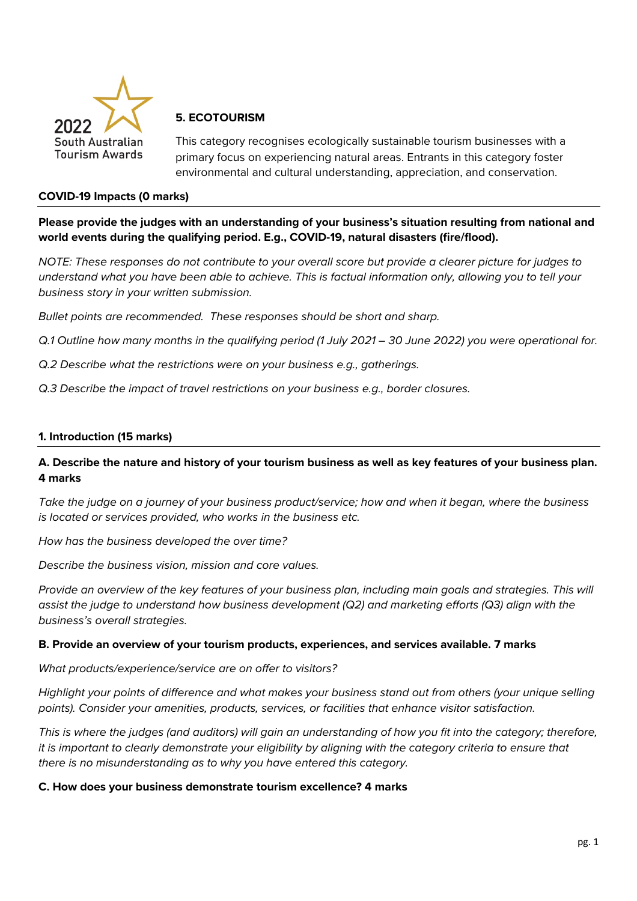

## **5. ECOTOURISM**

This category recognises ecologically sustainable tourism businesses with a primary focus on experiencing natural areas. Entrants in this category foster environmental and cultural understanding, appreciation, and conservation.

#### **COVID-19 Impacts (0 marks)**

**Please provide the judges with an understanding of your business's situation resulting from national and world events during the qualifying period. E.g., COVID-19, natural disasters (fire/flood).**

*NOTE: These responses do not contribute to your overall score but provide a clearer picture for judges to understand what you have been able to achieve. This is factual information only, allowing you to tell your business story in your written submission.* 

*Bullet points are recommended. These responses should be short and sharp.*

*Q.1 Outline how many months in the qualifying period (1 July 2021 – 30 June 2022) you were operational for.*

- *Q.2 Describe what the restrictions were on your business e.g., gatherings.*
- *Q.3 Describe the impact of travel restrictions on your business e.g., border closures.*

#### **1. Introduction (15 marks)**

## **A. Describe the nature and history of your tourism business as well as key features of your business plan. 4 marks**

*Take the judge on a journey of your business product/service; how and when it began, where the business is located or services provided, who works in the business etc.*

*How has the business developed the over time?*

*Describe the business vision, mission and core values.* 

*Provide an overview of the key features of your business plan, including main goals and strategies. This will assist the judge to understand how business development (Q2) and marketing efforts (Q3) align with the business's overall strategies.* 

#### **B. Provide an overview of your tourism products, experiences, and services available. 7 marks**

*What products/experience/service are on offer to visitors?*

*Highlight your points of difference and what makes your business stand out from others (your unique selling points). Consider your amenities, products, services, or facilities that enhance visitor satisfaction.*

*This is where the judges (and auditors) will gain an understanding of how you fit into the category; therefore, it is important to clearly demonstrate your eligibility by aligning with the category criteria to ensure that there is no misunderstanding as to why you have entered this category.*

#### **C. How does your business demonstrate tourism excellence? 4 marks**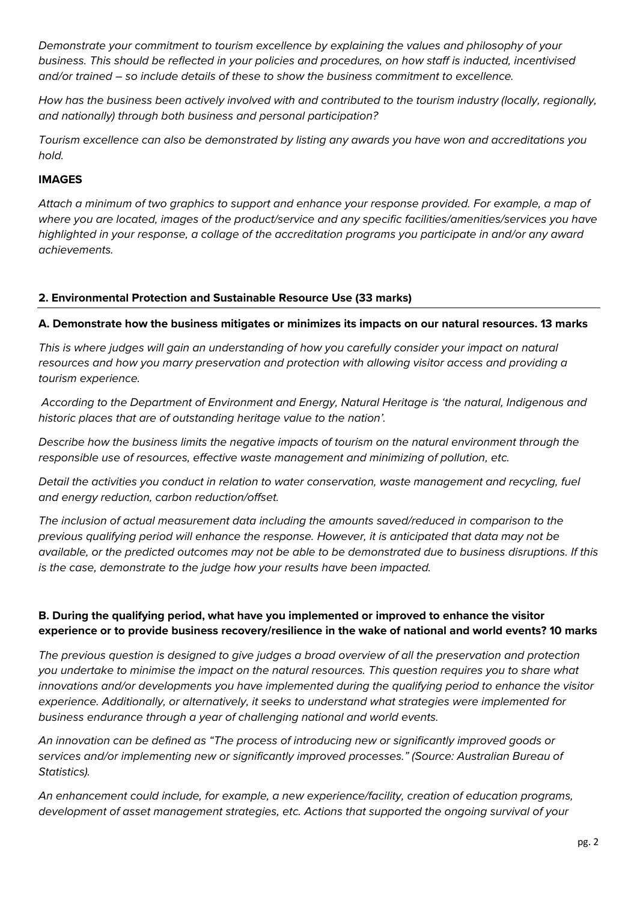*Demonstrate your commitment to tourism excellence by explaining the values and philosophy of your business. This should be reflected in your policies and procedures, on how staff is inducted, incentivised and/or trained – so include details of these to show the business commitment to excellence.*

*How has the business been actively involved with and contributed to the tourism industry (locally, regionally, and nationally) through both business and personal participation?*

*Tourism excellence can also be demonstrated by listing any awards you have won and accreditations you hold.* 

## **IMAGES**

*Attach a minimum of two graphics to support and enhance your response provided. For example, a map of where you are located, images of the product/service and any specific facilities/amenities/services you have highlighted in your response, a collage of the accreditation programs you participate in and/or any award achievements.* 

### **2. Environmental Protection and Sustainable Resource Use (33 marks)**

**A. Demonstrate how the business mitigates or minimizes its impacts on our natural resources. 13 marks**

*This is where judges will gain an understanding of how you carefully consider your impact on natural resources and how you marry preservation and protection with allowing visitor access and providing a tourism experience.* 

*According to the Department of Environment and Energy, Natural Heritage is 'the natural, Indigenous and historic places that are of outstanding heritage value to the nation'.* 

*Describe how the business limits the negative impacts of tourism on the natural environment through the responsible use of resources, effective waste management and minimizing of pollution, etc.*

*Detail the activities you conduct in relation to water conservation, waste management and recycling, fuel and energy reduction, carbon reduction/offset.* 

*The inclusion of actual measurement data including the amounts saved/reduced in comparison to the previous qualifying period will enhance the response. However, it is anticipated that data may not be available, or the predicted outcomes may not be able to be demonstrated due to business disruptions. If this is the case, demonstrate to the judge how your results have been impacted.* 

# **B. During the qualifying period, what have you implemented or improved to enhance the visitor experience or to provide business recovery/resilience in the wake of national and world events? 10 marks**

*The previous question is designed to give judges a broad overview of all the preservation and protection you undertake to minimise the impact on the natural resources. This question requires you to share what innovations and/or developments you have implemented during the qualifying period to enhance the visitor experience. Additionally, or alternatively, it seeks to understand what strategies were implemented for business endurance through a year of challenging national and world events.* 

*An innovation can be defined as "The process of introducing new or significantly improved goods or services and/or implementing new or significantly improved processes." (Source: Australian Bureau of Statistics).*

*An enhancement could include, for example, a new experience/facility, creation of education programs, development of asset management strategies, etc. Actions that supported the ongoing survival of your*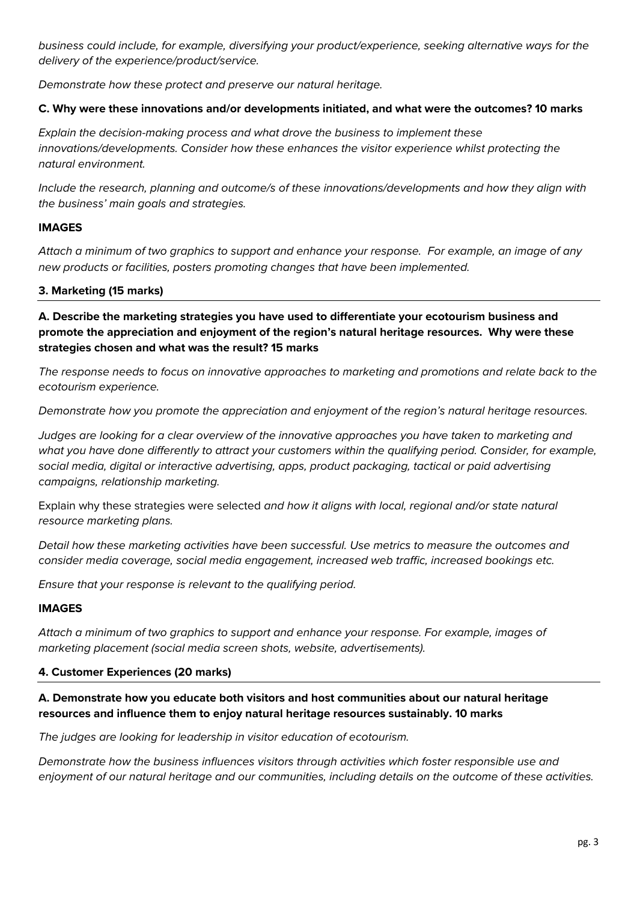*business could include, for example, diversifying your product/experience, seeking alternative ways for the delivery of the experience/product/service.* 

*Demonstrate how these protect and preserve our natural heritage.*

## **C. Why were these innovations and/or developments initiated, and what were the outcomes? 10 marks**

*Explain the decision-making process and what drove the business to implement these innovations/developments. Consider how these enhances the visitor experience whilst protecting the natural environment.*

*Include the research, planning and outcome/s of these innovations/developments and how they align with the business' main goals and strategies.*

## **IMAGES**

*Attach a minimum of two graphics to support and enhance your response. For example, an image of any new products or facilities, posters promoting changes that have been implemented.* 

## **3. Marketing (15 marks)**

**A. Describe the marketing strategies you have used to differentiate your ecotourism business and promote the appreciation and enjoyment of the region's natural heritage resources. Why were these strategies chosen and what was the result? 15 marks**

*The response needs to focus on innovative approaches to marketing and promotions and relate back to the ecotourism experience.* 

*Demonstrate how you promote the appreciation and enjoyment of the region's natural heritage resources.*

*Judges are looking for a clear overview of the innovative approaches you have taken to marketing and what you have done differently to attract your customers within the qualifying period. Consider, for example, social media, digital or interactive advertising, apps, product packaging, tactical or paid advertising campaigns, relationship marketing.* 

Explain why these strategies were selected *and how it aligns with local, regional and/or state natural resource marketing plans.*

*Detail how these marketing activities have been successful. Use metrics to measure the outcomes and consider media coverage, social media engagement, increased web traffic, increased bookings etc.* 

*Ensure that your response is relevant to the qualifying period.*

### **IMAGES**

*Attach a minimum of two graphics to support and enhance your response. For example, images of marketing placement (social media screen shots, website, advertisements).*

### **4. Customer Experiences (20 marks)**

# **A. Demonstrate how you educate both visitors and host communities about our natural heritage resources and influence them to enjoy natural heritage resources sustainably. 10 marks**

*The judges are looking for leadership in visitor education of ecotourism.* 

*Demonstrate how the business influences visitors through activities which foster responsible use and enjoyment of our natural heritage and our communities, including details on the outcome of these activities.*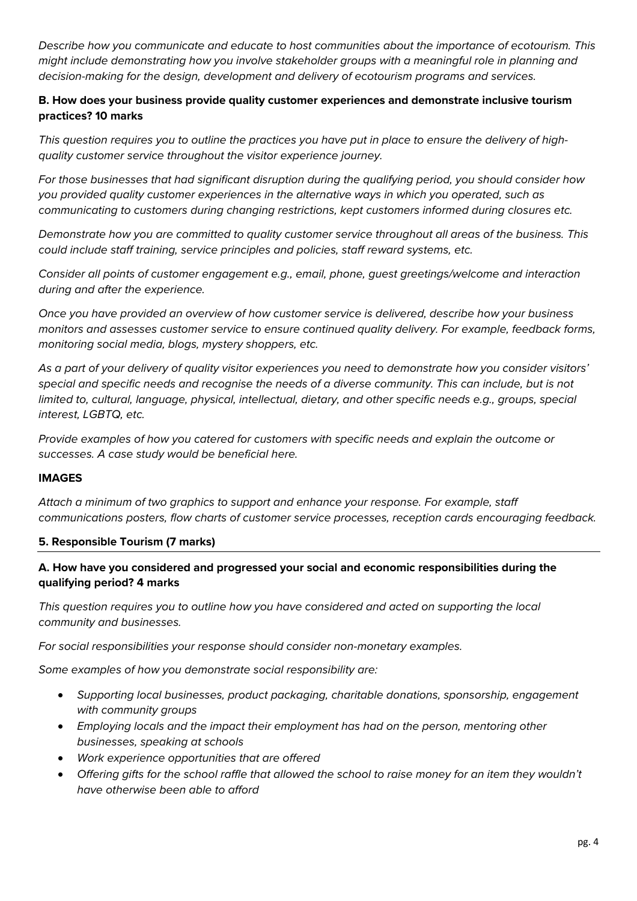*Describe how you communicate and educate to host communities about the importance of ecotourism. This might include demonstrating how you involve stakeholder groups with a meaningful role in planning and decision-making for the design, development and delivery of ecotourism programs and services.*

## **B. How does your business provide quality customer experiences and demonstrate inclusive tourism practices? 10 marks**

*This question requires you to outline the practices you have put in place to ensure the delivery of highquality customer service throughout the visitor experience journey.*

*For those businesses that had significant disruption during the qualifying period, you should consider how you provided quality customer experiences in the alternative ways in which you operated, such as communicating to customers during changing restrictions, kept customers informed during closures etc.*

*Demonstrate how you are committed to quality customer service throughout all areas of the business. This could include staff training, service principles and policies, staff reward systems, etc.* 

*Consider all points of customer engagement e.g., email, phone, guest greetings/welcome and interaction during and after the experience.*

*Once you have provided an overview of how customer service is delivered, describe how your business monitors and assesses customer service to ensure continued quality delivery. For example, feedback forms, monitoring social media, blogs, mystery shoppers, etc.* 

*As a part of your delivery of quality visitor experiences you need to demonstrate how you consider visitors' special and specific needs and recognise the needs of a diverse community. This can include, but is not limited to, cultural, language, physical, intellectual, dietary, and other specific needs e.g., groups, special interest, LGBTQ, etc.*

*Provide examples of how you catered for customers with specific needs and explain the outcome or successes. A case study would be beneficial here.* 

### **IMAGES**

*Attach a minimum of two graphics to support and enhance your response. For example, staff communications posters, flow charts of customer service processes, reception cards encouraging feedback.* 

### **5. Responsible Tourism (7 marks)**

## **A. How have you considered and progressed your social and economic responsibilities during the qualifying period? 4 marks**

*This question requires you to outline how you have considered and acted on supporting the local community and businesses.* 

*For social responsibilities your response should consider non-monetary examples.*

*Some examples of how you demonstrate social responsibility are:*

- *Supporting local businesses, product packaging, charitable donations, sponsorship, engagement with community groups*
- *Employing locals and the impact their employment has had on the person, mentoring other businesses, speaking at schools*
- *Work experience opportunities that are offered*
- *Offering gifts for the school raffle that allowed the school to raise money for an item they wouldn't have otherwise been able to afford*